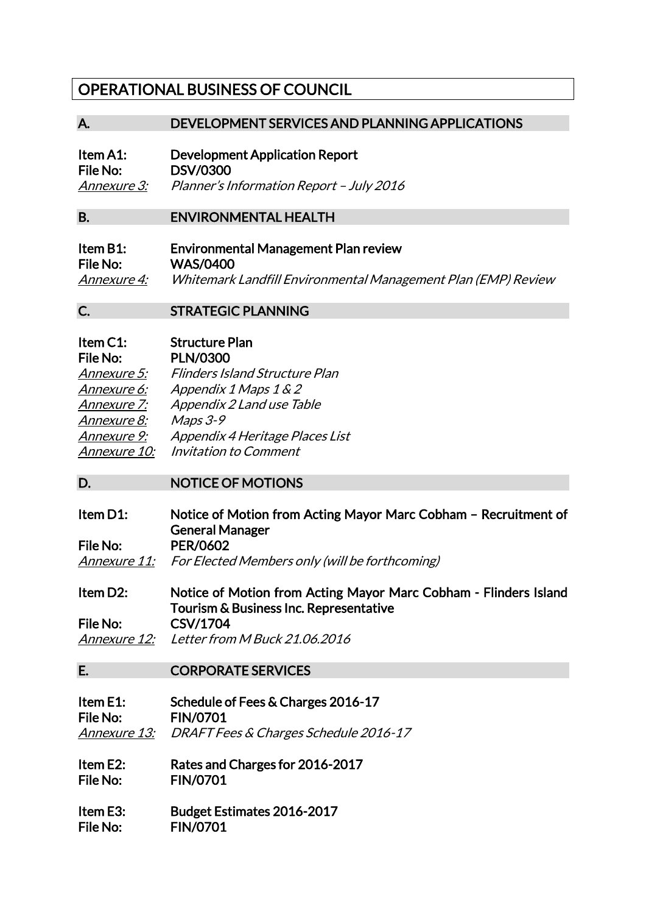# OPERATIONAL BUSINESS OF COUNCIL

### A. DEVELOPMENT SERVICES AND PLANNING APPLICATIONS

| Item A1:           | Development Application Report           |  |
|--------------------|------------------------------------------|--|
| <b>File No:</b>    | <b>DSV/0300</b>                          |  |
| <i>Annexure 3:</i> | Planner's Information Report - July 2016 |  |

#### B. ENVIRONMENTAL HEALTH

| Item B1:           | <b>Environmental Management Plan review</b>                   |
|--------------------|---------------------------------------------------------------|
| File No:           | <b>WAS/0400</b>                                               |
| <i>Annexure 4:</i> | Whitemark Landfill Environmental Management Plan (EMP) Review |

## C. STRATEGIC PLANNING

| Item C1:     | <b>Structure Plan</b>                 |
|--------------|---------------------------------------|
| File No:     | <b>PLN/0300</b>                       |
| Annexure 5:  | <b>Flinders Island Structure Plan</b> |
| Annexure 6:  | Appendix 1 Maps 1 & 2                 |
| Annexure 7:  | Appendix 2 Land use Table             |
| Annexure 8:  | $Maps 3-9$                            |
| Annexure 9:  | Appendix 4 Heritage Places List       |
| Annexure 10: | Invitation to Comment                 |

# D. NOTICE OF MOTIONS

Item D1: Notice of Motion from Acting Mayor Marc Cobham – Recruitment of General Manager File No: PER/0602 Annexure 11: For Elected Members only (will be forthcoming)

Item D2: Notice of Motion from Acting Mayor Marc Cobham - Flinders Island Tourism & Business Inc. Representative File No: CSV/1704

Annexure 12: Letter from M Buck 21.06.2016

#### E. CORPORATE SERVICES

Item E1: Schedule of Fees & Charges 2016-17 File No: FIN/0701 Annexure 13: DRAFT Fees & Charges Schedule 2016-17

Item E2: Rates and Charges for 2016-2017 File No: FIN/0701

Item E3: Budget Estimates 2016-2017 File No: FIN/0701